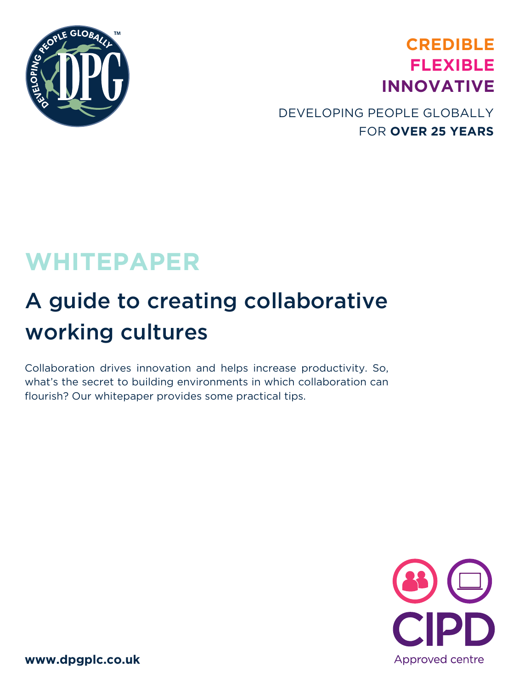

## **CREDIBLE FLEXIBLE INNOVATIVE**

### DEVELOPING PEOPLE GLOBALLY FOR **OVER 25 YEARS**

## **WHITEPAPER**

## A guide to creating collaborative working cultures

Collaboration drives innovation and helps increase productivity. So, what's the secret to building environments in which collaboration can flourish? Our whitepaper provides some practical tips.



**www.dpgplc.co.uk**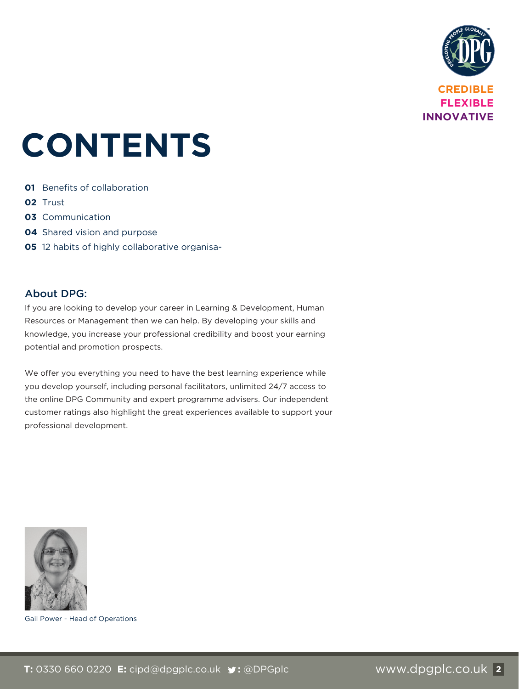

# **CONTENTS**

- **01** Benefits of collaboration
- **02** Trust
- **03** Communication
- **04** Shared vision and purpose
- **05** 12 habits of highly collaborative organisa-

#### About DPG:

If you are looking to develop your career in Learning & Development, Human Resources or Management then we can help. By developing your skills and knowledge, you increase your professional credibility and boost your earning potential and promotion prospects.

We offer you everything you need to have the best learning experience while you develop yourself, including personal facilitators, unlimited 24/7 access to the online DPG Community and expert programme advisers. Our independent customer ratings also highlight the great experiences available to support your professional development.



Gail Power - Head of Operations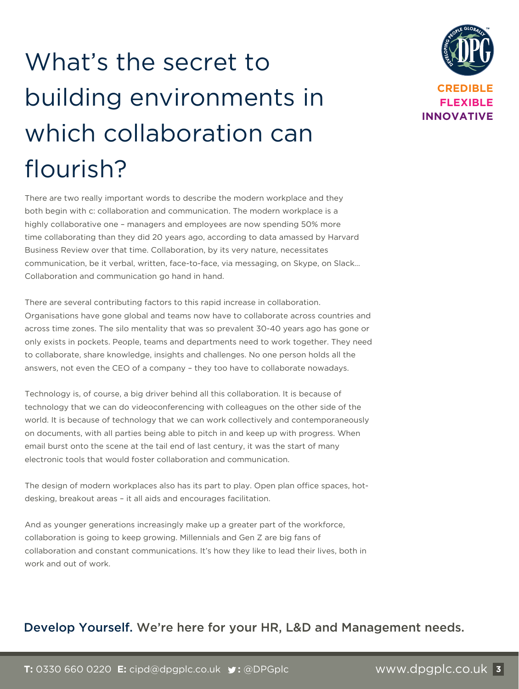# What's the secret to building environments in which collaboration can flourish?



There are two really important words to describe the modern workplace and they both begin with c: collaboration and communication. The modern workplace is a highly collaborative one – managers and employees are now spending 50% more time collaborating than they did 20 years ago, according to data amassed by Harvard Business Review over that time. Collaboration, by its very nature, necessitates communication, be it verbal, written, face-to-face, via messaging, on Skype, on Slack… Collaboration and communication go hand in hand.

There are several contributing factors to this rapid increase in collaboration. Organisations have gone global and teams now have to collaborate across countries and across time zones. The silo mentality that was so prevalent 30-40 years ago has gone or only exists in pockets. People, teams and departments need to work together. They need to collaborate, share knowledge, insights and challenges. No one person holds all the answers, not even the CEO of a company – they too have to collaborate nowadays.

Technology is, of course, a big driver behind all this collaboration. It is because of technology that we can do videoconferencing with colleagues on the other side of the world. It is because of technology that we can work collectively and contemporaneously on documents, with all parties being able to pitch in and keep up with progress. When email burst onto the scene at the tail end of last century, it was the start of many electronic tools that would foster collaboration and communication.

The design of modern workplaces also has its part to play. Open plan office spaces, hotdesking, breakout areas – it all aids and encourages facilitation.

And as younger generations increasingly make up a greater part of the workforce, collaboration is going to keep growing. Millennials and Gen Z are big fans of collaboration and constant communications. It's how they like to lead their lives, both in work and out of work.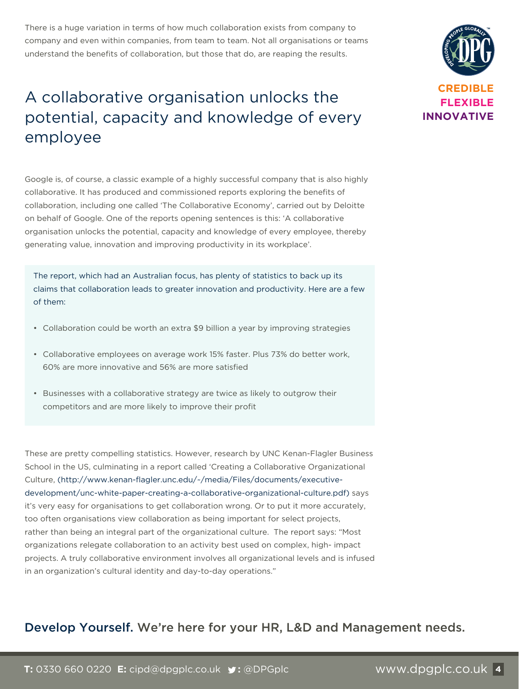There is a huge variation in terms of how much collaboration exists from company to company and even within companies, from team to team. Not all organisations or teams understand the benefits of collaboration, but those that do, are reaping the results.

## A collaborative organisation unlocks the potential, capacity and knowledge of every employee

Google is, of course, a classic example of a highly successful company that is also highly collaborative. It has produced and commissioned reports exploring the benefits of collaboration, including one called 'The Collaborative Economy', carried out by Deloitte on behalf of Google. One of the reports opening sentences is this: 'A collaborative organisation unlocks the potential, capacity and knowledge of every employee, thereby generating value, innovation and improving productivity in its workplace'.

The report, which had an Australian focus, has plenty of statistics to back up its claims that collaboration leads to greater innovation and productivity. Here are a few of them:

- Collaboration could be worth an extra \$9 billion a year by improving strategies
- Collaborative employees on average work 15% faster. Plus 73% do better work, 60% are more innovative and 56% are more satisfied
- Businesses with a collaborative strategy are twice as likely to outgrow their competitors and are more likely to improve their profit

These are pretty compelling statistics. However, research by UNC Kenan-Flagler Business School in the US, culminating in a report called 'Creating a Collaborative Organizational Culture, (http://www.kenan-flagler.unc.edu/~/media/Files/documents/executivedevelopment/unc-white-paper-creating-a-collaborative-organizational-culture.pdf) says it's very easy for organisations to get collaboration wrong. Or to put it more accurately, too often organisations view collaboration as being important for select projects, rather than being an integral part of the organizational culture. The report says: "Most organizations relegate collaboration to an activity best used on complex, high- impact projects. A truly collaborative environment involves all organizational levels and is infused in an organization's cultural identity and day-to-day operations."

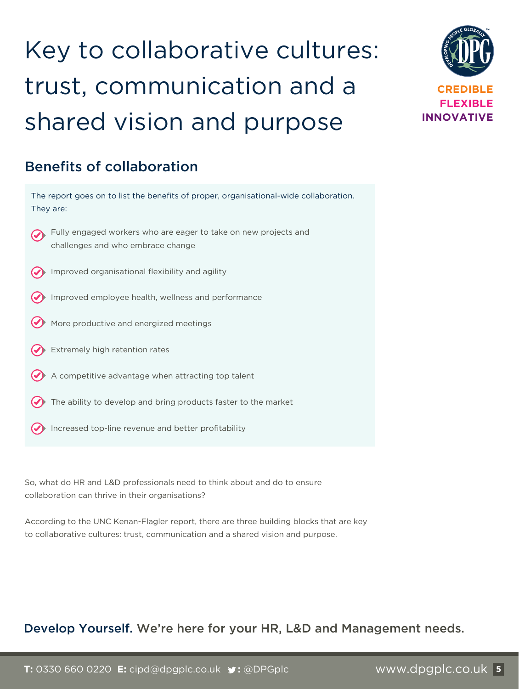# Key to collaborative cultures: trust, communication and a shared vision and purpose



#### Benefits of collaboration

| The report goes on to list the benefits of proper, organisational-wide collaboration.<br>They are:   |
|------------------------------------------------------------------------------------------------------|
| Fully engaged workers who are eager to take on new projects and<br>challenges and who embrace change |
| Improved organisational flexibility and agility                                                      |
| Improved employee health, wellness and performance                                                   |
| More productive and energized meetings                                                               |
| Extremely high retention rates                                                                       |
| A competitive advantage when attracting top talent                                                   |
| The ability to develop and bring products faster to the market                                       |

Increased top-line revenue and better profitability

So, what do HR and L&D professionals need to think about and do to ensure collaboration can thrive in their organisations?

According to the UNC Kenan-Flagler report, there are three building blocks that are key to collaborative cultures: trust, communication and a shared vision and purpose.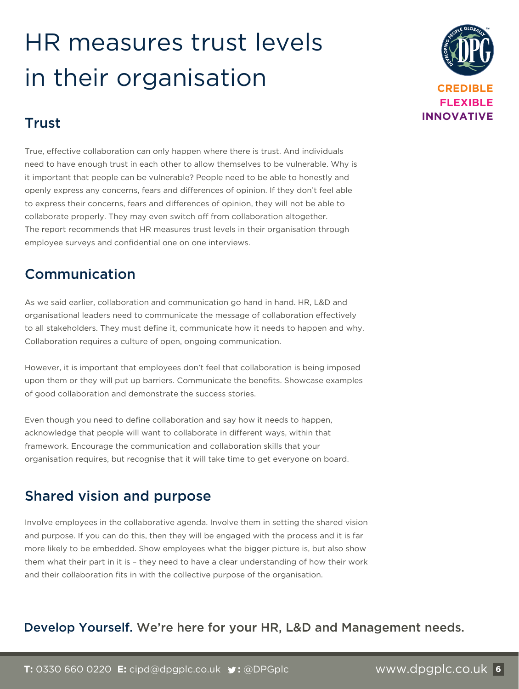## HR measures trust levels in their organisation



### Trust

True, effective collaboration can only happen where there is trust. And individuals need to have enough trust in each other to allow themselves to be vulnerable. Why is it important that people can be vulnerable? People need to be able to honestly and openly express any concerns, fears and differences of opinion. If they don't feel able to express their concerns, fears and differences of opinion, they will not be able to collaborate properly. They may even switch off from collaboration altogether. The report recommends that HR measures trust levels in their organisation through employee surveys and confidential one on one interviews.

### Communication

As we said earlier, collaboration and communication go hand in hand. HR, L&D and organisational leaders need to communicate the message of collaboration effectively to all stakeholders. They must define it, communicate how it needs to happen and why. Collaboration requires a culture of open, ongoing communication.

However, it is important that employees don't feel that collaboration is being imposed upon them or they will put up barriers. Communicate the benefits. Showcase examples of good collaboration and demonstrate the success stories.

Even though you need to define collaboration and say how it needs to happen, acknowledge that people will want to collaborate in different ways, within that framework. Encourage the communication and collaboration skills that your organisation requires, but recognise that it will take time to get everyone on board.

### Shared vision and purpose

Involve employees in the collaborative agenda. Involve them in setting the shared vision and purpose. If you can do this, then they will be engaged with the process and it is far more likely to be embedded. Show employees what the bigger picture is, but also show them what their part in it is – they need to have a clear understanding of how their work and their collaboration fits in with the collective purpose of the organisation.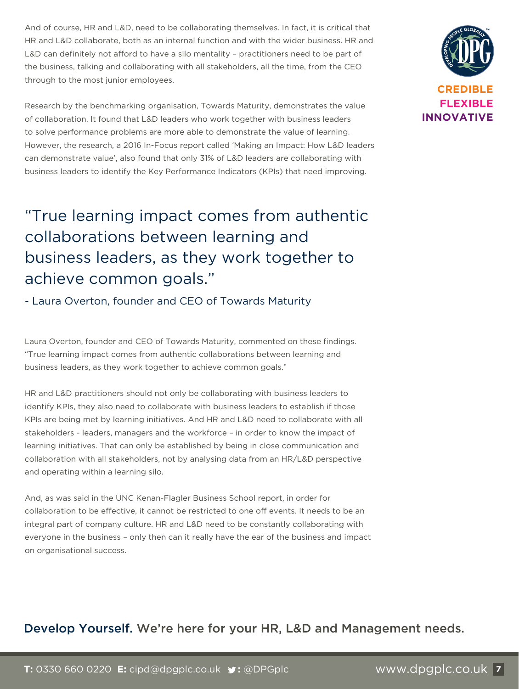And of course, HR and L&D, need to be collaborating themselves. In fact, it is critical that HR and L&D collaborate, both as an internal function and with the wider business. HR and L&D can definitely not afford to have a silo mentality – practitioners need to be part of the business, talking and collaborating with all stakeholders, all the time, from the CEO through to the most junior employees.

Research by the benchmarking organisation, Towards Maturity, demonstrates the value of collaboration. It found that L&D leaders who work together with business leaders to solve performance problems are more able to demonstrate the value of learning. However, the research, a 2016 In-Focus report called 'Making an Impact: How L&D leaders can demonstrate value', also found that only 31% of L&D leaders are collaborating with business leaders to identify the Key Performance Indicators (KPIs) that need improving.

## "True learning impact comes from authentic collaborations between learning and business leaders, as they work together to achieve common goals."

- Laura Overton, founder and CEO of Towards Maturity

Laura Overton, founder and CEO of Towards Maturity, commented on these findings. "True learning impact comes from authentic collaborations between learning and business leaders, as they work together to achieve common goals."

HR and L&D practitioners should not only be collaborating with business leaders to identify KPIs, they also need to collaborate with business leaders to establish if those KPIs are being met by learning initiatives. And HR and L&D need to collaborate with all stakeholders - leaders, managers and the workforce – in order to know the impact of learning initiatives. That can only be established by being in close communication and collaboration with all stakeholders, not by analysing data from an HR/L&D perspective and operating within a learning silo.

And, as was said in the UNC Kenan-Flagler Business School report, in order for collaboration to be effective, it cannot be restricted to one off events. It needs to be an integral part of company culture. HR and L&D need to be constantly collaborating with everyone in the business – only then can it really have the ear of the business and impact on organisational success.